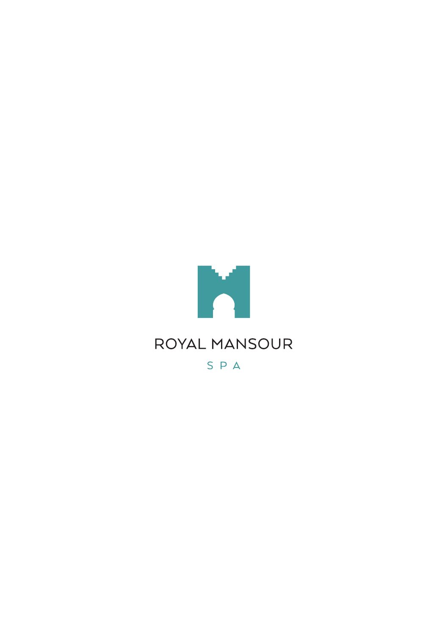

SPA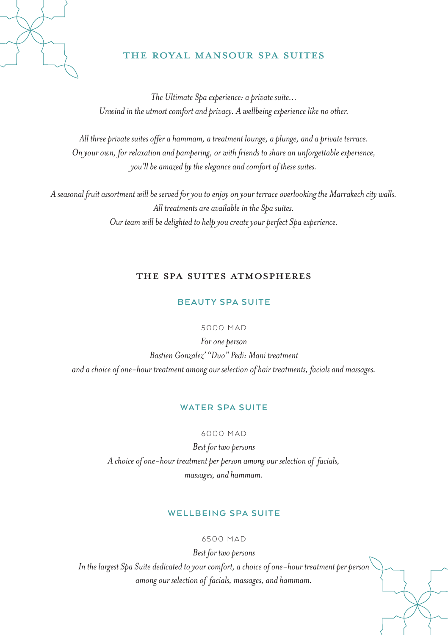

# THE ROYAL MANSOUR SPA SUITES

*The Ultimate Spa experience: a private suite… Unwind in the utmost comfort and privacy. A wellbeing experience like no other.*

*All three private suites offer a hammam, a treatment lounge, a plunge, and a private terrace. On your own, for relaxation and pampering, or with friends to share an unforgettable experience, you'll be amazed by the elegance and comfort of these suites.*

*A seasonal fruit assortment will be served for you to enjoy on your terrace overlooking the Marrakech city walls. All treatments are available in the Spa suites. Our team will be delighted to help you create your perfect Spa experience.* 

# The Spa Suites atmospheres

# **BEAUTY SPA SUITE**

#### 5000 MAD

*For one person Bastien Gonzalez' "Duo" Pedi: Mani treatment and a choice of one-hour treatment among our selection of hair treatments, facials and massages.*

#### **WATER SPA SUITE**

#### 6000 MAD

*Best for two persons A choice of one-hour treatment per person among our selection of facials, massages, and hammam.*

# **WELLBEING SPA SUITE**

#### 6500 MAD

*Best for two persons In the largest Spa Suite dedicated to your comfort, a choice of one-hour treatment per person among our selection of facials, massages, and hammam.*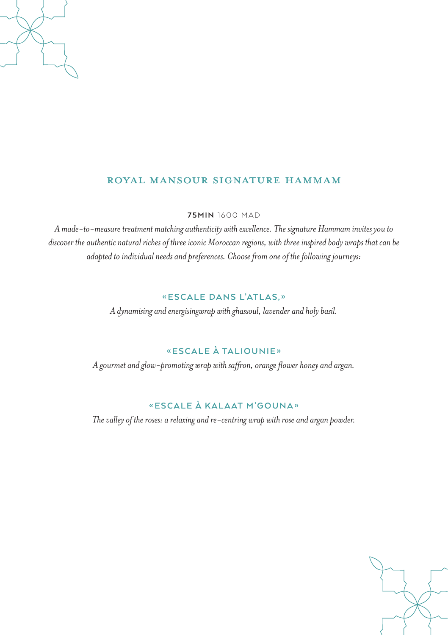# ROYAL MANSOUR SIGNATURE HAMMAM

**75MIN** 1600 MAD

*A made-to-measure treatment matching authenticity with excellence. The signature Hammam invites you to discover the authentic natural riches of three iconic Moroccan regions, with three inspired body wraps that can be adapted to individual needs and preferences. Choose from one of the following journeys:* 

# **«ESCALE DANS L'ATLAS,»**

*A dynamising and energisingwrap with ghassoul, lavender and holy basil.*

# **«ESCALE À TALIOUNIE»**

*A gourmet and glow-promoting wrap with saffron, orange flower honey and argan.*

# **«ESCALE À KALAAT M'GOUNA»**

*The valley of the roses: a relaxing and re-centring wrap with rose and argan powder.*

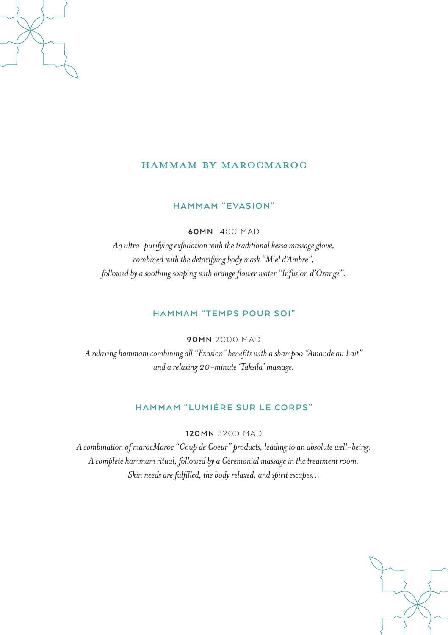# HAMMAM BY MAROCMAROC

#### **HAMMAM "EVASION"**

**60MN** 1400 MAD

*An ultra-purifying exfoliation with the traditional kessa massage glove, combined with the detoxifying body mask "Miel d'Ambre", followed by a soothing soaping with orange flower water "Infusion d'Orange".*

#### **HAMMAM "TEMPS POUR SOI"**

**90MN** 2000 MAD

*A relaxing hammam combining all "Evasion" benefits with a shampoo "Amande au Lait" and a relaxing 20-minute 'Taksila' massage.*

# **HAMMAM "LUMIÈRE SUR LE CORPS"**

**120MN** 3200 MAD

*A combination of marocMaroc "Coup de Coeur" products, leading to an absolute well-being. A complete hammam ritual, followed by a Ceremonial massage in the treatment room. Skin needs are fulfilled, the body relaxed, and spirit escapes…*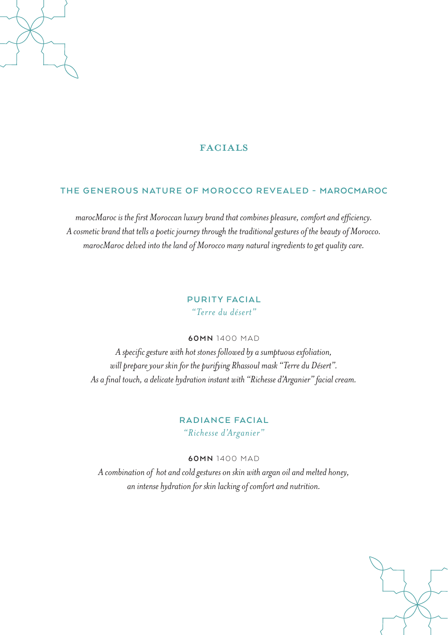# FACIALS

# **THE GENEROUS NATURE OF MOROCCO REVEALED - MAROCMAROC**

*marocMaroc is the first Moroccan luxury brand that combines pleasure, comfort and efficiency. A cosmetic brand that tells a poetic journey through the traditional gestures of the beauty of Morocco. marocMaroc delved into the land of Morocco many natural ingredients to get quality care.*

# **PURITY FACIAL** *"Terre du désert"*

#### **60MN** 1400 MAD

*A specific gesture with hot stones followed by a sumptuous exfoliation, will prepare your skin for the purifying Rhassoul mask "Terre du Désert". As a final touch, a delicate hydration instant with "Richesse d'Arganier" facial cream.* 

# **RADIANCE FACIAL** *"Richesse d'Arganier"*

#### **60MN** 1400 MAD

*A combination of hot and cold gestures on skin with argan oil and melted honey, an intense hydration for skin lacking of comfort and nutrition.*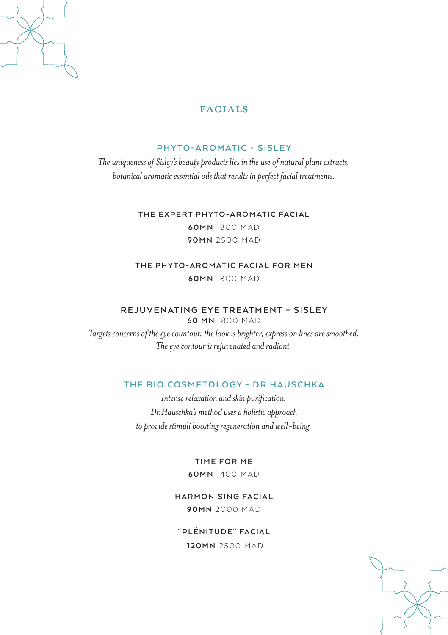

# FACIALS

# **PHYTO-AROMATIC - SISLEY**

*The uniqueness of Sisley's beauty products lies in the use of natural plant extracts, botanical aromatic essential oils that results in perfect facial treatments.* 

> **THE EXPERT PHYTO-AROMATIC FACIAL 60MN** 1800 MAD **90MN** 2500 MAD

**THE PHYTO-AROMATIC FACIAL FOR MEN 60MN** 1800 MAD

#### **REJUVENATING EYE TREATMENT – SISLEY 60 MN** 1800 MAD

*Targets concerns of the eye countour, the look is brighter, expression lines are smoothed. The eye contour is rejuvenated and radiant.*

# **THE BIO COSMETOLOGY - DR.HAUSCHKA**

*Intense relaxation and skin purification. Dr.Hauschka's method uses a holistic approach to provide stimuli boosting regeneration and well-being.*

**TIME FOR ME**

**60MN** 1400 MAD

**HARMONISING FACIAL 90MN** 2000 MAD

**"PLÉNITUDE" FACIAL**

 **120MN** 2500 MAD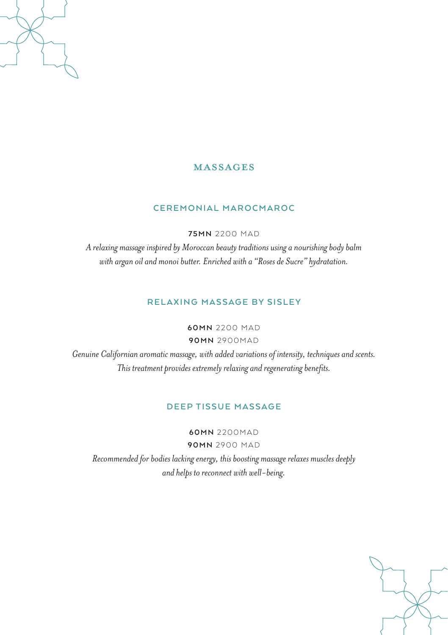# MASSAGES

# **CEREMONIAL MAROCMAROC**

**75MN** 2200 MAD

*A relaxing massage inspired by Moroccan beauty traditions using a nourishing body balm with argan oil and monoi butter. Enriched with a "Roses de Sucre" hydratation.*

# **RELAXING MASSAGE BY SISLEY**

**60MN** 2200 MAD

**90MN** 2900MAD

*Genuine Californian aromatic massage, with added variations of intensity, techniques and scents. This treatment provides extremely relaxing and regenerating benefits.*

# **DEEP TISSUE MASSAGE**

**60MN** 2200MAD **90MN** 2900 MAD

*Recommended for bodies lacking energy, this boosting massage relaxes muscles deeply and helps to reconnect with well-being.*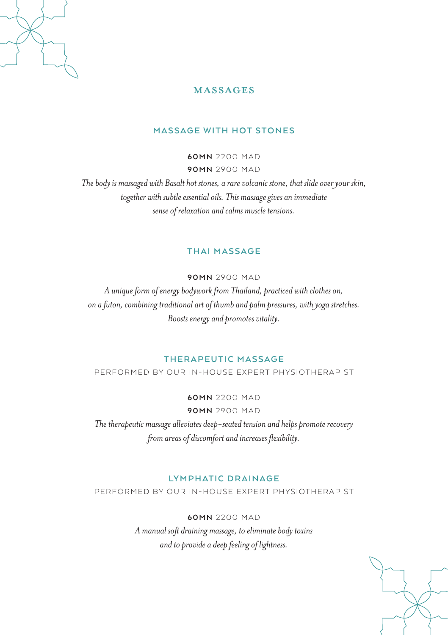

# MASSAGES

#### **MASSAGE WITH HOT STONES**

**60MN** 2200 MAD **90MN** 2900 MAD

*The body is massaged with Basalt hot stones, a rare volcanic stone, that slide over your skin, together with subtle essential oils. This massage gives an immediate sense of relaxation and calms muscle tensions.*

#### **THAI MASSAGE**

**90MN** 2900 MAD

*A unique form of energy bodywork from Thailand, practiced with clothes on, on a futon, combining traditional art of thumb and palm pressures, with yoga stretches. Boosts energy and promotes vitality.*

# **THERAPEUTIC MASSAGE**

PERFORMED BY OUR IN-HOUSE EXPERT PHYSIOTHERAPIST

**60MN** 2200 MAD **90MN** 2900 MAD

*The therapeutic massage alleviates deep-seated tension and helps promote recovery from areas of discomfort and increases flexibility.*

# LYMPHATIC DRAINAGE

PERFORMED BY OUR IN-HOUSE EXPERT PHYSIOTHERAPIST

**60MN** 2200 MAD *A manual soft draining massage, to eliminate body toxins and to provide a deep feeling of lightness.*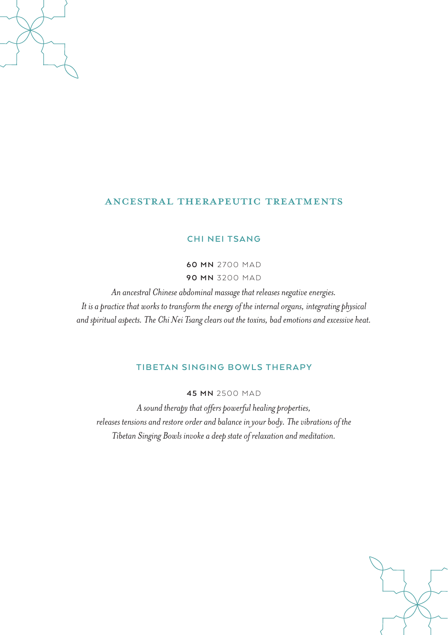# Ancestral therapeutic treatments

#### **CHI NEI TSANG**

**60 MN** 2700 MAD **90 MN** 3200 MAD

*An ancestral Chinese abdominal massage that releases negative energies. It is a practice that works to transform the energy of the internal organs, integrating physical and spiritual aspects. The Chi Nei Tsang clears out the toxins, bad emotions and excessive heat.*

# **TIBETAN SINGING BOWLS THERAPY**

**45 MN** 2500 MAD

*A sound therapy that offers powerful healing properties, releases tensions and restore order and balance in your body. The vibrations of the Tibetan Singing Bowls invoke a deep state of relaxation and meditation.*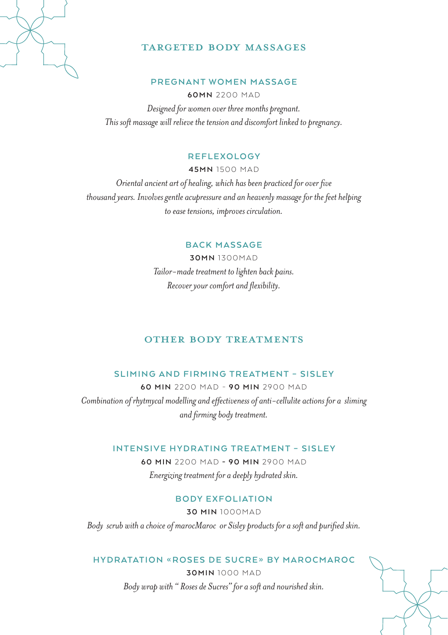

# TARGETED BODY MASSAGES

#### **PREGNANT WOMEN MASSAGE**

**60MN** 2200 MAD *Designed for women over three months pregnant. This soft massage will relieve the tension and discomfort linked to pregnancy.* 

#### **REFLEXOLOGY**

**45MN** 1500 MAD

*Oriental ancient art of healing, which has been practiced for over five thousand years. Involves gentle acupressure and an heavenly massage for the feet helping to ease tensions, improves circulation.*

# **BACK MASSAGE**

**30MN** 1300MAD *Tailor-made treatment to lighten back pains. Recover your comfort and flexibility.*

# OTHER BODY TREATMENTS

# **SLIMING AND FIRMING TREATMENT – SISLEY**

**60 MIN** 2200 MAD - **90 MIN** 2900 MAD *Combination of rhytmycal modelling and effectiveness of anti-cellulite actions for a sliming and firming body treatment.*

#### **INTENSIVE HYDRATING TREATMENT – SISLEY**

**60 MIN** 2200 MAD **- 90 MIN** 2900 MAD *Energizing treatment for a deeply hydrated skin.*

# **B O DY E X F O L I AT I O N**

**30 MIN** 1000MAD

*Body scrub with a choice of marocMaroc or Sisley products for a soft and purified skin.*

# **HYDRATATION «ROSES DE SUCRE» BY MAROCMAROC**

**30MIN** 1000 MAD *Body wrap with " Roses de Sucres" for a soft and nourished skin.*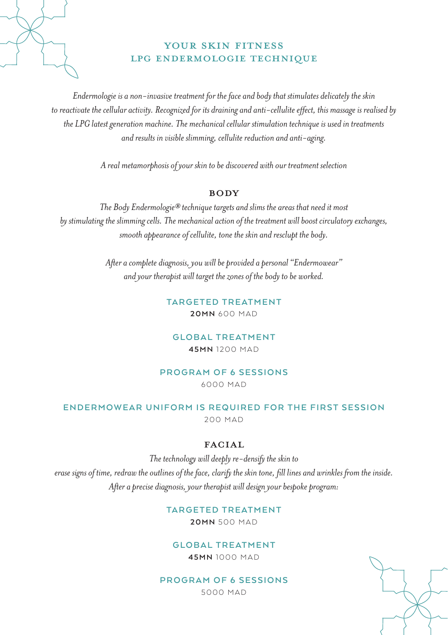

# YOUR SKIN FITNESS LPG ENDERMOLOGIE TECHNIQUE

*Endermologie is a non-invasive treatment for the face and body that stimulates delicately the skin to reactivate the cellular activity. Recognized for its draining and anti-cellulite effect, this massage is realised by the LPG latest generation machine. The mechanical cellular stimulation technique is used in treatments and results in visible slimming, cellulite reduction and anti-aging.*

*A real metamorphosis of your skin to be discovered with our treatment selection*

#### **BODY**

*The Body Endermologie® technique targets and slims the areas that need it most by stimulating the slimming cells. The mechanical action of the treatment will boost circulatory exchanges, smooth appearance of cellulite, tone the skin and resclupt the body.*

> *After a complete diagnosis, you will be provided a personal "Endermowear" and your therapist will target the zones of the body to be worked.*

> > **TARGETED TREATMENT 20MN** 600 MAD

**GLOBAL TREATMENT 45MN** 1200 MAD

# **PROGRAM OF 6 SESSIONS**

6000 MAD

# **ENDERMOWEAR UNIFORM IS REQUIRED FOR THE FIRST SESSION**

200 MAD

# FACIAL

*The technology will deeply re-densify the skin to erase signs of time, redraw the outlines of the face, clarify the skin tone, fill lines and wrinkles from the inside. After a precise diagnosis, your therapist will design your bespoke program:*

# **TARGETED TREATMENT**

**20MN** 500 MAD

# **GLOBAL TREATMENT**

**45MN** 1000 MAD

# **PROGRAM OF 6 SESSIONS**

5000 MAD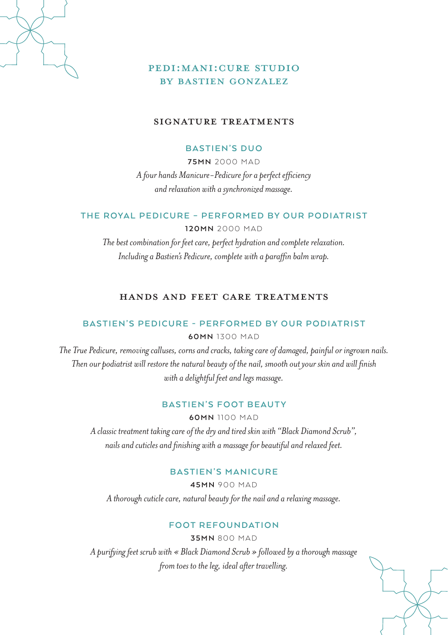

# PEDI:MANI:CURE STUDIO by BASTIEN GONZALEZ

# Signature Treatments

# **BASTIEN'S DUO**

**75MN** 2000 MAD *A four hands Manicure-Pedicure for a perfect efficiency and relaxation with a synchronized massage.*

# **THE ROYAL PEDICURE – PERFORMED BY OUR PODIATRIST**

**120MN** 2000 MAD

*The best combination for feet care, perfect hydration and complete relaxation. Including a Bastien's Pedicure, complete with a paraffin balm wrap.*

# Hands and Feet Care Treatments

# **BASTIEN'S PEDICURE - PERFORMED BY OUR PODIATRIST**

**60MN** 1300 MAD

*The True Pedicure, removing calluses, corns and cracks, taking care of damaged, painful or ingrown nails. Then our podiatrist will restore the natural beauty of the nail, smooth out your skin and will finish with a delightful feet and legs massage.*

#### **BASTIEN'S FOOT BEAUTY**

**60MN** 1100 MAD

*A classic treatment taking care of the dry and tired skin with "Black Diamond Scrub", nails and cuticles and finishing with a massage for beautiful and relaxed feet.*

#### **BASTIEN'S MANICURE**

**45MN** 900 MAD

*A thorough cuticle care, natural beauty for the nail and a relaxing massage.*

#### **FOOT REFOUNDATION**

**35MN** 800 MAD

*A purifying feet scrub with « Black Diamond Scrub » followed by a thorough massage from toes to the leg, ideal after travelling.*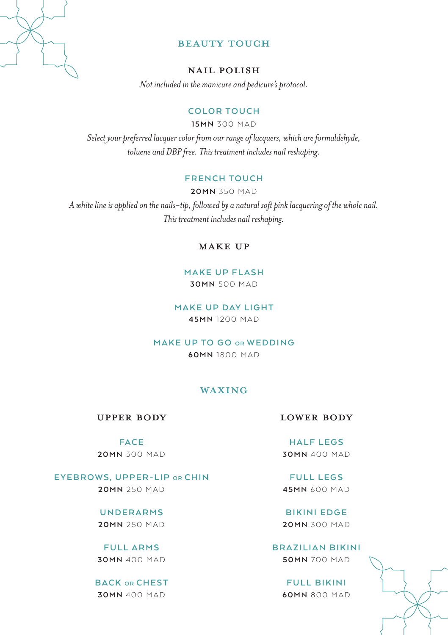

# BEAUTY TOUCH

#### Nail Polish

*Not included in the manicure and pedicure's protocol.*

# **COLOR TOUCH**

**15MN** 300 MAD

*Select your preferred lacquer color from our range of lacquers, which are formaldehyde, toluene and DBP free. This treatment includes nail reshaping.*

### **FRENCH TOUCH**

**20MN** 350 MAD *A white line is applied on the nails-tip, followed by a natural soft pink lacquering of the whole nail. This treatment includes nail reshaping.*

# Make up

# **MAKE UP FLASH**

**30MN** 500 MAD

#### **MAKE UP DAY LIGHT 45MN** 1200 MAD

**MAKE UP TO GO OR WEDDING 60MN** 1800 MAD

#### WAXING

Upper body

#### **FACE 20MN** 300 MAD

**EYEBROWS, UPPER-LIP OR CHIN 20MN** 250 MAD

> **UNDERARMS 20MN** 250 MAD

**FULL ARMS 30MN** 400 MAD

**BACK OR CHEST 30MN** 400 MAD

Lower body

**HALF LEGS 30MN** 400 MAD

**FULL LEGS 45MN** 600 MAD

**BIKINI EDGE 20MN** 300 MAD

**BRAZILIAN BIKINI 50MN** 700 MAD

> **FULL BIKINI 60MN** 800 MAD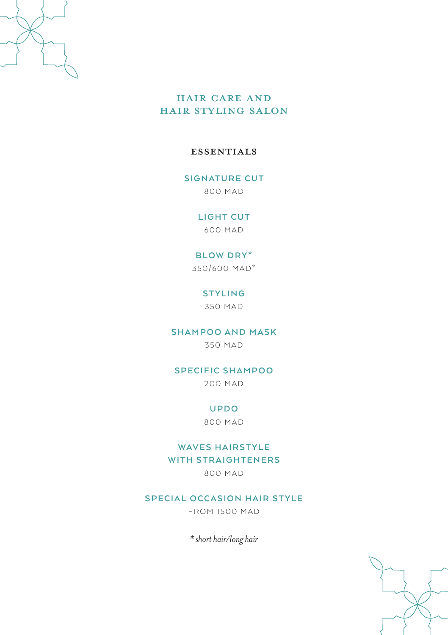

# HAIR CARE AND HAIR STYLING SALON

# **ESSENTIALS**

# **SIGNATURE CUT**

800 MAD

# **LIGHT CUT**

600 MAD

# **BLOW DRY\***

350/600 MAD\*

# **STYLING**

350 MAD

# **SHAMPOO AND MASK**

350 MAD

# **SPECIFIC SHAMPOO**

200 MAD

#### **U P D O**

800 MAD

# **WAVES HAIRSTYLE WITH STRAIGHTENERS**

800 MAD

# **SPECIAL OCCASION HAIR STYLE**

FROM 1500 MAD

*\* short hair/long hair*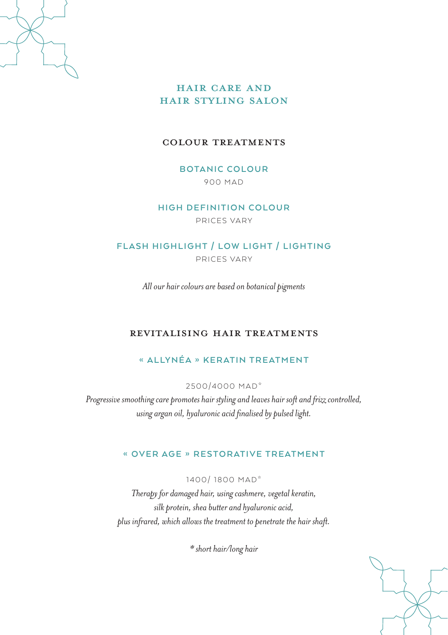

# HAIR CARE AND HAIR STYLING SALON

# Colour treatments

**BOTANIC COLOUR** 900 MAD

**HIGH DEFINITION COLOUR**

PRICES VARY

# **FLASH HIGHLIGHT / LOW LIGHT / LIGHTING**

PRICES VARY

*All our hair colours are based on botanical pigments*

# REVITALISING HAIR TREATMENTS

# **« ALLYNÉA » KERATIN TREATMENT**

2500/4000 MAD\*

*Progressive smoothing care promotes hair styling and leaves hair soft and frizz controlled, using argan oil, hyaluronic acid finalised by pulsed light.*

# **« OVER AGE » RESTORATIVE TREATMENT**

1400/ 1800 MAD\*

*Therapy for damaged hair, using cashmere, vegetal keratin, silk protein, shea butter and hyaluronic acid, plus infrared, which allows the treatment to penetrate the hair shaft.*

*\* short hair/long hair*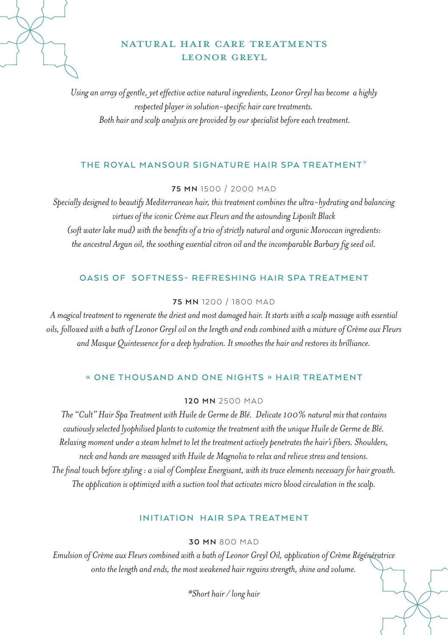# NATURAL HAIR CARE TREATMENTS LEONOR GREYL

*Using an array of gentle, yet effective active natural ingredients, Leonor Greyl has become a highly respected player in solution-specific hair care treatments. Both hair and scalp analysis are provided by our specialist before each treatment.*

# **THE ROYAL MANSOUR SIGNATURE HAIR SPA TREATMENT\***

#### **75 MN** 1500 / 2000 MAD

*Specially designed to beautify Mediterranean hair, this treatment combines the ultra-hydrating and balancing virtues of the iconic Crème aux Fleurs and the astounding Liposilt Black (soft water lake mud) with the benefits of a trio of strictly natural and organic Moroccan ingredients: the ancestral Argan oil, the soothing essential citron oil and the incomparable Barbary fig seed oil.*

#### **OASIS OF SOFTNESS- REFRESHING HAIR SPA TREATMENT**

# **75 MN** 1200 / 1800 MAD

*A magical treatment to regenerate the driest and most damaged hair. It starts with a scalp massage with essential oils, followed with a bath of Leonor Greyl oil on the length and ends combined with a mixture of Crème aux Fleurs and Masque Quintessence for a deep hydration. It smoothes the hair and restores its brilliance.*

#### **« ONE THOUSAND AND ONE NIGHTS » HAIR TREATMENT**

#### **120 MN** 2500 MAD

*The "Cult" Hair Spa Treatment with Huile de Germe de Blé. Delicate 100% natural mix that contains cautiously selected lyophilised plants to customize the treatment with the unique Huile de Germe de Blé. Relaxing moment under a steam helmet to let the treatment actively penetrates the hair's fibers. Shoulders, neck and hands are massaged with Huile de Magnolia to relax and relieve stress and tensions. The final touch before styling : a vial of Complexe Energisant, with its trace elements necessary for hair growth. The application is optimized with a suction tool that activates micro blood circulation in the scalp.* 

# **INITIATION HAIR SPA TREATMENT**

# **30 MN** 800 MAD

*Emulsion of Crème aux Fleurs combined with a bath of Leonor Greyl Oil, application of Crème Régénératrice onto the length and ends, the most weakened hair regains strength, shine and volume.* 

*\*Short hair / long hair*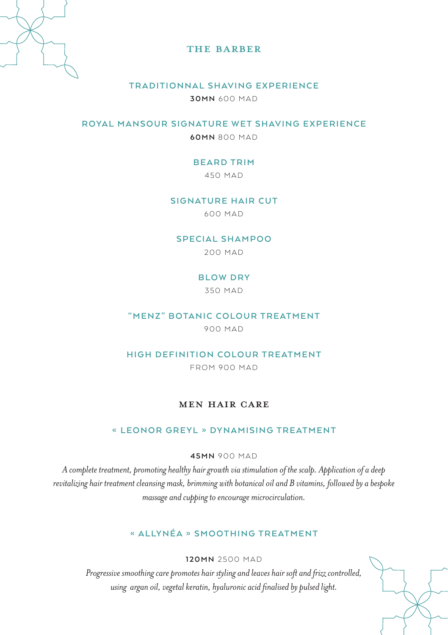

# THE BARBER

# **TRADITIONNAL SHAVING EXPERIENCE**

**30MN** 600 MAD

**ROYAL MANSOUR SIGNATURE WET SHAVING EXPERIENCE**

**60MN** 800 MAD

# **BEARD TRIM**

450 MAD

#### **SIGNATURE HAIR CUT**

600 MAD

#### **SPECIAL SHAMPOO**

200 MAD

#### **BLOW DRY**

350 MAD

#### **"MENZ" BOTANIC COLOUR TREATMENT**

900 MAD

#### **HIGH DEFINITION COLOUR TREATMENT**

FROM 900 MAD

# MEN HAIR CARE

### **« LEONOR GREYL » DYNAMISING TREATMENT**

**45MN** 900 MAD

*A complete treatment, promoting healthy hair growth via stimulation of the scalp. Application of a deep revitalizing hair treatment cleansing mask, brimming with botanical oil and B vitamins, followed by a bespoke massage and cupping to encourage microcirculation.*

# **« A L LY N É A » S M O OT H I N G T R E AT M E N T**

# **120MN** 2500 MAD

*Progressive smoothing care promotes hair styling and leaves hair soft and frizz controlled, using argan oil, vegetal keratin, hyaluronic acid finalised by pulsed light.*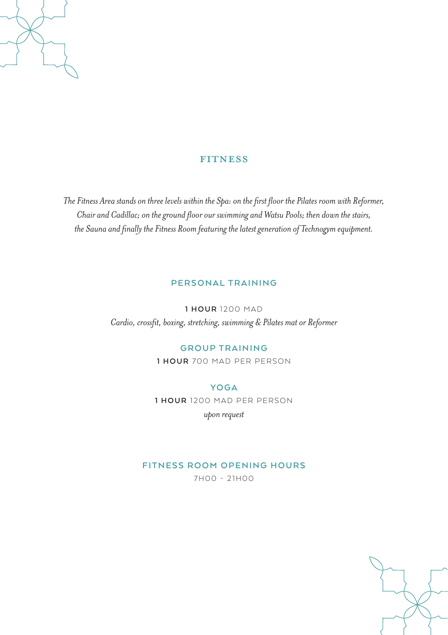# **FITNESS**

*The Fitness Area stands on three levels within the Spa: on the first floor the Pilates room with Reformer, Chair and Cadillac; on the ground floor our swimming and Watsu Pools; then down the stairs, the Sauna and finally the Fitness Room featuring the latest generation of Technogym equipment.* 

# **PERSONAL TRAINING**

**1 HOUR** 1200 MAD *Cardio, crossfit, boxing, stretching, swimming & Pilates mat or Reformer*

#### **GROUP TRAINING**

**1 HOUR** 700 MAD PER PERSON

#### **YOGA**

**1 HOUR** 1200 MAD PER PERSON

*upon request*

# **FITNESS ROOM OPENING HOURS**

7H00 - 21H00